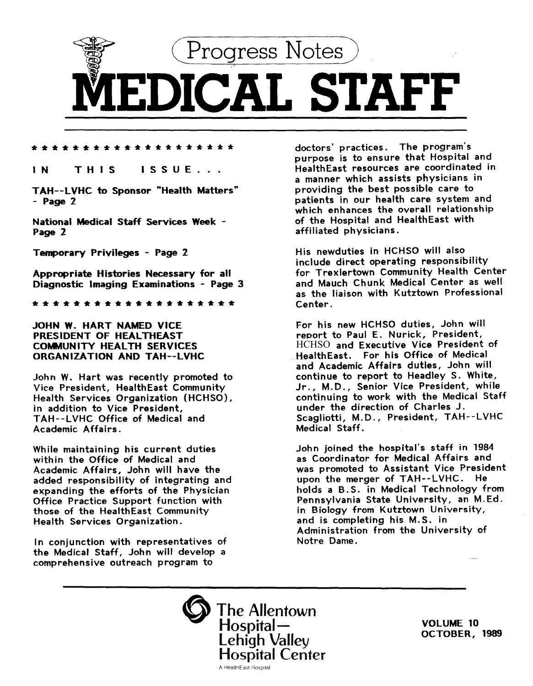

\*\*\*\*\*\*\*\*\*\*\*\*\*\*\*\*\*\*\*\*

IN THIS ISSUE...

TAH--LVHC to Sponsor "Health Matters" - Page 2

National Medical Staff Services Week - Page 2

Temporary Privileges - Page 2

Appropriate Histories Necessary for all Diagnostic Imaging Examinations - Page 3

\*\*\*\*\*\*\*\*\*\*\*\*\*\*\*\*\*\*\*\*

JOHN W. HART NAMED VICE PRESIDENT OF HEALTHEAST COMMUNITY HEALTH SERVICES ORGANIZATION AND TAH--LVHC

John W. Hart was recently promoted to Vice President, HealthEast Community Health Services Organization (HCHSO), in addition to Vice President, TAH--LVHC Office of Medical and Academic Affairs.

While maintaining his current duties within the Office of Medical and Academic Affairs, John will have the added responsibility of integrating and expanding the efforts of the Physician Office Practice Support function with those of the HealthEast Community Health Services Organization.

In conjunction with representatives of the Medical Staff, John will develop a comprehensive outreach program to

doctors' practices. The program's purpose is to ensure that Hospital and HealthEast resources are coordinated in a manner which assists physicians in providing the best possible care to patients in our health care system and which enhances the overall relationship of the Hospital and HealthEast with affiliated physicians.

His newduties in HCHSO will also include direct operating responsibility for Trexlertown Community Health Center and Mauch Chunk Medical Center as well as the liaison with Kutztown Professional Center.

For his new HCHSO duties, John will report to Paul E. Nurick, President, HCHSO and Executive Vice President of HealthEast. For his Office of Medical and Academic Affairs duties, John will continue to report to Headley S. White, Jr., M.D., Senior Vice President, while continuing to work with the Medical Staff under the direction of Charles J. Scagliotti, M.D., President, TAH--LVHC Medical Staff.

John joined the hospital's staff in 1984 as Coordinator for Medical Affairs and was promoted to Assistant Vice President upon the merger of TAH--LVHC. He holds a B.S. in Medical Technology from Pennsylvania State University, an M.Ed. in Biology from Kutztown University, and is completing his M.S. in Administration from the University of Notre Dame.

The Allentown  $Hospital$ Lehigh Valley<br>Hospital Center A HealthEast Hospital

VOLUME 10 OCTOBER, 1989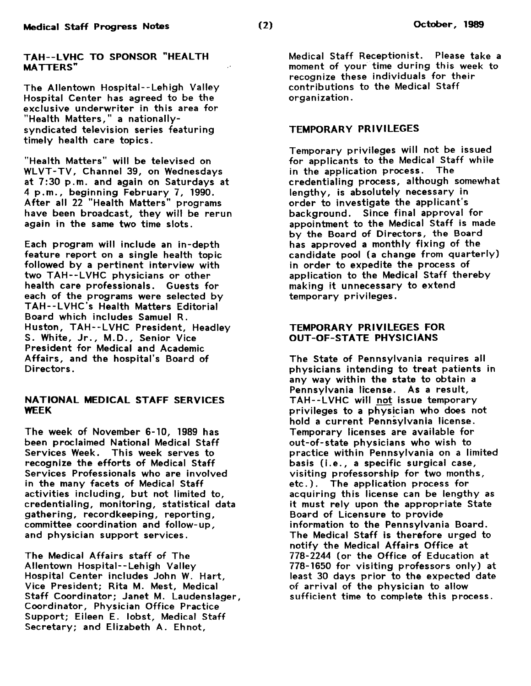# TAH--LVHC TO SPONSOR "HEALTH MATTERS"

The Allentown Hospital--Lehigh Valley Hospital Center has agreed to be the exclusive underwriter in this area for "Health Matters," a nationallysyndicated television series featuring timely health care topics.

"Health Matters" will be televised on WLVT-TV, Channel 39, on Wednesdays at 7:30 p.m. and again on Saturdays at 4 p.m., beginning February 7, 1990. After all 22 "Health Matters" programs have been broadcast, they will be rerun again in the same two time slots.

Each program will include an in-depth feature report on a single health topic followed by a pertinent interview with two TAH--LVHC physicians or other health care professionals. Guests for each of the programs were selected by TAH--LVHC's Health Matters Editorial Board which includes Samuel R. Huston, TAH--LVHC President, Headley S. White, Jr., M.D., Senior Vice President for Medical and Academic Affairs, and the hospital's Board of Directors.

## NATIONAL MEDICAL STAFF SERVICES WEEK

The week of November 6-10, 1989 has been proclaimed National Medical Staff Services Week. This week serves to recognize the efforts of Medical Staff Services Professionals who are involved in the many facets of Medical Staff activities including, but not limited to, credentialing, monitoring, statistical data gathering, recordkeeping, reporting, committee coordination and follow-up, and physician support services.

The Medical Affairs staff of The Allentown Hospital--Lehigh Valley Hospital Center includes John W. Hart, Vice President; Rita M. Mest, Medical Staff Coordinator; Janet M. Laudenslager, Coordinator, Physician Office Practice Support; Eileen E. lobst, Medical Staff Secretary; and Elizabeth A. Ehnot,

Medical Staff Receptionist. Please take a moment of your time during this week to recognize these individuals for their contributions to the Medical Staff organization.

# TEMPORARY PRIVILEGES

Temporary privileges will not be issued for applicants to the Medical Staff while in the application process. The credentialing process, although somewhat lengthy, is absolutely necessary in order to investigate the applicant's background. Since final approval for appointment to the Medical Staff is made by the Board of Directors, the Board has approved a monthly fixing of the candidate pool (a change from quarterly) in order to expedite the process of application to the Medical Staff thereby making it unnecessary to extend temporary privileges.

## TEMPORARY PRIVILEGES FOR OUT -OF-STATE PHYSICIANS

The State of Pennsylvania requires all physicians intending to treat patients in any way within the state to obtain a Pennsylvania license. As a result, TAH--LVHC will not issue temporary privileges to a physician who does not hold a current Pennsylvania license. Temporary licenses are available for out-of-state physicians who wish to practice within Pennsylvania on a limited basis (i.e., a specific surgical case, visiting professorship for two months, etc.). The application process for acquiring this license can be lengthy as it must rely upon the appropriate State Board of Licensure to provide information to the Pennsylvania Board. The Medical Staff is therefore urged to notify the Medical Affairs Office at 778-2244 (or the Office of Education at 778-1650 for visiting professors only) at least 30 days prior to the expected date of arrival of the physician to allow sufficient time to complete this process.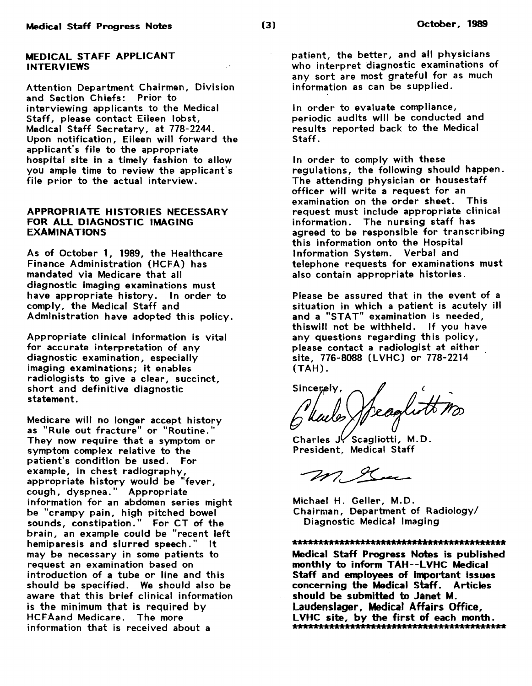## MEDICAL STAFF APPLICANT INTERVIEWS

Attention Department Chairmen, Division and Section Chiefs: Prior to interviewing applicants to the Medical Staff, please contact Eileen Jobst, Medical Staff Secretary, at 778-2244. Upon notification, Eileen will forward the applicant's file to the appropriate hospital site in a timely fashion to allow you ample time to review the applicant's file prior to the actual interview.

## APPROPRIATE HISTORIES NECESSARY FOR ALL DIAGNOSTIC IMAGING EXAMINATIONS

As of October 1, 1989, the Healthcare Finance Administration (HCFA) has mandated via Medicare that all diagnostic imaging examinations must have appropriate history. In order to comply, the Medical Staff and Administration have adopted this policy.

Appropriate clinical information is vital for accurate interpretation of any diagnostic examination, especially imaging examinations; it enables radiologists to give a clear, succinct, short and definitive diagnostic statement.

Medicare will no longer accept history as "Rule out fracture" or "Routine. They now require that a symptom or symptom complex relative to the patient's condition be used. For example, in chest radiography, appropriate history would be "fever, cough, dyspnea." Appropriate information for an abdomen series might be "crampy pain, high pitched bowel sounds, constipation." For CT of the brain, an example could be "recent left hemiparesis and slurred speech." It may be necessary in some patients to request an examination based on introduction of a tube or line and this should be specified. We should also be aware that this brief clinical information is the minimum that is required by HCFAand Medicare. The more information that is received about a

patient, the better, and all physicians who interpret diagnostic examinations of any sort are most grateful for as much information as can be supplied.

In order to evaluate compliance, periodic audits will be conducted and results reported back to the Medical Staff.

In order to comply with these regulations, the following should happen. The attending physician or housestaff officer will write a request for an examination on the order sheet. This request must include appropriate clinical information. The nursing staff has agreed to be responsible for transcribing this information onto the Hospital Information System. Verbal and telephone requests for examinations must also contain appropriate histories.

Please be assured that in the event of a situation in which a patient is acutely ill and a "STAT" examination is needed, thiswill not be withheld. If you have any questions regarding this policy, please contact a radiologist at either site, 776-8088 (LVHC) or 778-2214 (TAH).

Sincerely, reaglist

Charles J. Scagliotti, M.D. President, Medical Staff

mr. Kun

Michael H. Geller, M.D. Chairman, Department of Radiology/ Diagnostic Medical Imaging

#### AAAAAAAAAAAAAAAAAAAAAAAAiiAAAAAAAAAAAAAAA

Medical Staff Progress Notes is published monthly to inform TAH--LVHC Medical Staff and employees of important issues concerning the Medical Staff. Articles should be submitted to Janet M. Laudenslager, Medical Affairs Office, LVHC site, by the first of each month. AAAAAAAAAAAAAAAAAAAAAAAAAAAAAAAAAAAAAAAAA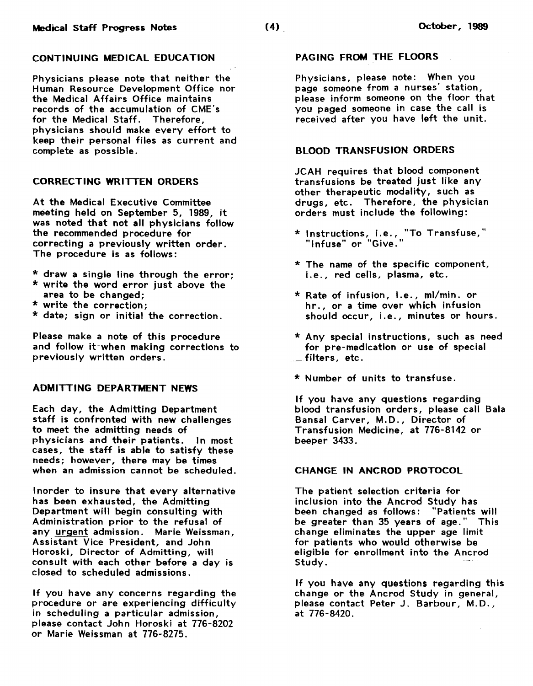CONTINUING MEDICAL EDUCATION

Physicians please note that neither the Human Resource Development Office nor the Medical Affairs Office maintains records of the accumulation of CME's for the Medical Staff. Therefore, physicians should make every effort to keep their personal files as current and complete as possible.

# CORRECTING WRITTEN ORDERS

At the Medical Executive Committee meeting held on September 5, 1989, it was noted that not all physicians follow the recommended procedure for correcting a previously written order. The procedure is as follows:

- \* draw a single line through the error; \* write the word error just above the area to be changed;
- \* write the correction;
- \* date; sign *or* initial the correction.

Please make a note of this procedure and follow it when making corrections to previously written orders.

## ADMITTING DEPARTMENT NEWS

Each day, the Admitting Department staff is confronted with new challenges to meet the admitting needs of physicians and their patients. In most cases, the staff is able to satisfy these needs; however, there may be times when an admission cannot be scheduled.

Inorder to insure that every alternative has been exhausted, the Admitting Department will begin consulting with Administration prior to the refusal of any urgent admission. Marie Weissman, Assistant Vice President, and John Horoski, Director of Admitting, will consult with each other before a day is closed to scheduled admissions.

If you have any concerns regarding the procedure or are experiencing difficulty in scheduling a particular admission, please contact John Horoski at 776-8202 or Marie Weissman at 776-8275.

## PAGING FROM THE FLOORS

Physicians, please note: When you page someone from a nurses' station, please inform someone on the floor that you paged someone in case the call is received after you have left the unit.

# BLOOD TRANSFUSION ORDERS

JCAH requires that blood component transfusions be treated just like any other therapeutic modality, such as drugs, etc. Therefore, the physician orders must include the following:

- \*Instructions, i.e., "To Transfuse," "Infuse" or "Give."
- \* The name of the specific component, i.e., red cells, plasma, etc.
- \* Rate of infusion, i.e., ml/min. or hr., or a time over which infusion should occur, i.e., minutes or hours.
- \* Any special instructions, such as need for pre-medication or use of special \_\_\_ filters, etc.
- \* Number of units to transfuse.

If you have any questions regarding blood transfusion orders, please call Bala Bansal Carver, M. 0., Director of Transfusion Medicine, at 776-8142 or beeper 3433.

### CHANGE IN ANCROD PROTOCOL

The patient selection criteria for inclusion into the Ancrod Study has been changed as follows: "Patients will be greater than 35 years of age." This change eliminates the upper age limit for patients who would otherwise be eligible for enrollment into the Ancrod Study.

If you have any questions regarding this change or the Ancrod Study in general, please contact Peter J. Barbour, M.D., at 776-8420.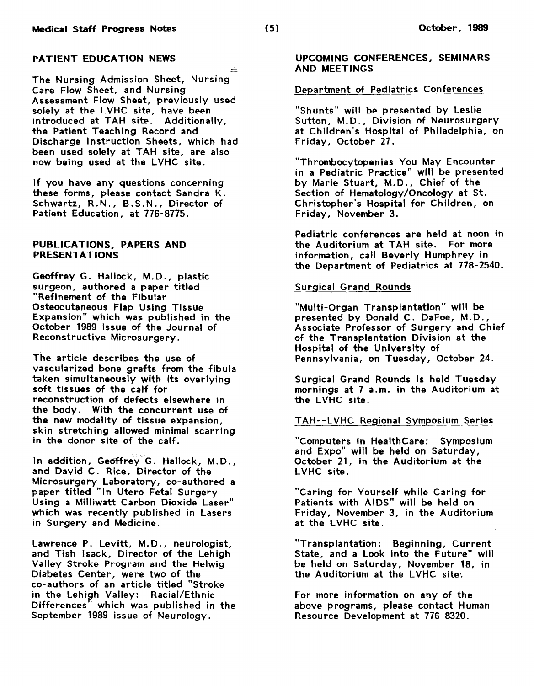The Nursing Admission Sheet, Nursing Care Flow Sheet, and Nursing Assessment Flow Sheet, previously used solely at the LVHC site, have been introduced at TAH site. Additionally, the Patient Teaching Record and Discharge Instruction Sheets, which had been used solely at TAH site, are also now being used at the LVHC site.

If you have any questions concerning these forms, please contact Sandra K. Schwartz, R.N., B.S.N., Director of Patient Education, at 776-8775.

## PUBLICATIONS, PAPERS AND PRESENTATIONS

Geoffrey G. Hallock, M.D., plastic surgeon, authored a paper titled "Refinement of the Fibular Osteocutaneous Flap Using Tissue Expansion" which was published in the October 1989 issue of the Journal of Reconstructive Microsurgery.

The article describes the use of vascularized bone grafts from the fibula taken simultaneously with its overlying soft tissues of the calf for reconstruction of defects elsewhere in the body. With the concurrent use of the new modality of tissue expansion, skin stretching allowed minimal scarring in the donor site of the calf.

In addition, Geoffrey G. Hallock, M.D., and David C. Rice, Director of the Microsurgery Laboratory, co-authored a paper titled "In Utero Fetal Surgery Using a Milliwatt Carbon Dioxide Laser" which was recently published in Lasers in Surgery and Medicine.

Lawrence P. Levitt, M.D., neurologist, and Tish lsack, Director of the Lehigh Valley Stroke Program and the Helwig Diabetes Center, were two of the co-authors of an article titled "Stroke in the Lehigh Valley: Racial/Ethnic Differences" which was published in the September 1989 issue of Neurology.

## PATIENT EDUCATION NEWS UPCOMING CONFERENCES, SEMINARS  $\angle$  AND MEETINGS

# Department of Pediatrics Conferences

"Shunts" will be presented by Leslie Sutton, M.D., Division of Neurosurgery at Children's Hospital of Philadelphia, on Friday, October 27.

"Thrombocytopenias You May Encounter in a Pediatric Practice" will be presented by Marie Stuart, M.D., Chief of the Section of Hematology/Oncology at St. Christopher's Hospital for Children, on Friday, November 3.

Pediatric conferences are held at noon in the Auditorium at TAH site. For more information, call Beverly Humphrey in the Department of Pediatrics at 778-2540.

## Surgical Grand Rounds

"Multi-Organ Transplantation" will be presented by Donald C. DaFoe, M.D., Associate Professor of Surgery and Chief of the Transplantation Division at the Hospital of the University of Pennsylvania, on Tuesday, October 24.

Surgical Grand Rounds is held Tuesday mornings at 7 a.m. in the Auditorium at the LVHC site.

# TAH--LVHC Regional Symposium Series

"Computers in HealthCare: Symposium and Expo" will be held on Saturday, October 21, in the Auditorium at the LVHC site.

"Caring for Yourself while Caring for Patients with AIDS" will be held on Friday, November 3, in the Auditorium at the LVHC site.

"Transplantation: Beginning, Current State, and a Look into the Future" will be held on Saturday, November 18, in the Auditorium at the LVHC site·.

For more information on any of the above programs, please contact Human Resource Development at 776-8320.